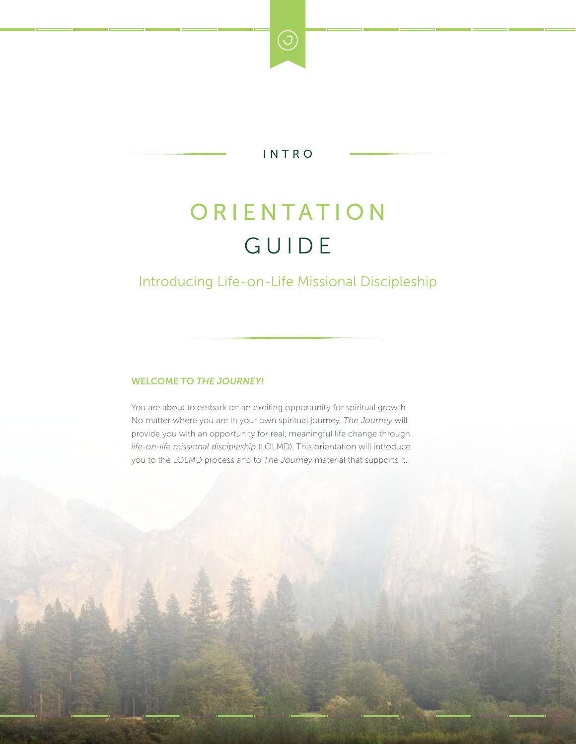

### INTRO

# GUIDE **ORIENTATION**

### Introducing Life-on-Life Missional Discipleship

### WELCOME TO *THE JOURNEY*!

You are about to embark on an exciting opportunity for spiritual growth. No matter where you are in your own spiritual journey, *The Journey* will provide you with an opportunity for real, meaningful life change through *life-on-life missional discipleship* (LOLMD). This orientation will introduce you to the LOLMD process and to *The Journey* material that supports it.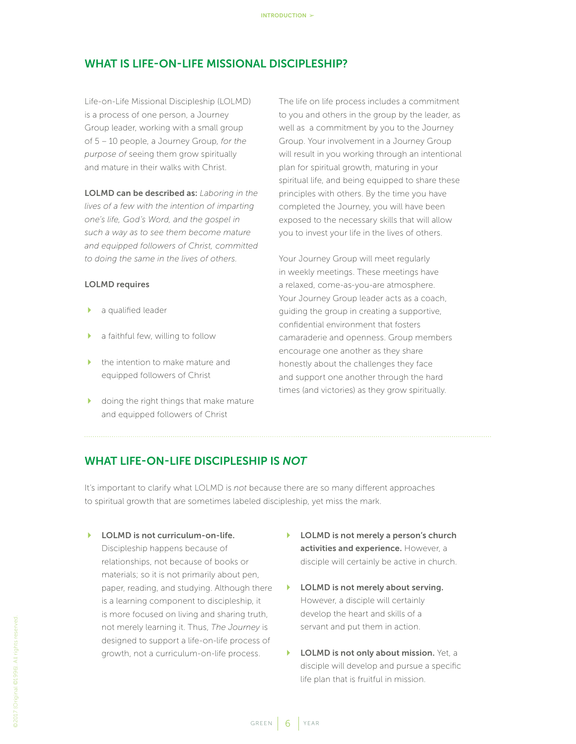### WHAT IS LIFE-ON-LIFE MISSIONAL DISCIPLESHIP?

Life-on-Life Missional Discipleship (LOLMD) is a process of one person, a Journey Group leader, working with a small group of 5 – 10 people, a Journey Group, *for the purpose of* seeing them grow spiritually and mature in their walks with Christ.

LOLMD can be described as: *Laboring in the lives of a few with the intention of imparting one's life, God's Word, and the gospel in such a way as to see them become mature and equipped followers of Christ, committed to doing the same in the lives of others.*

### LOLMD requires

- a qualified leader
- a faithful few, willing to follow
- $\blacktriangleright$  the intention to make mature and equipped followers of Christ
- **b** doing the right things that make mature and equipped followers of Christ

The life on life process includes a commitment to you and others in the group by the leader, as well as a commitment by you to the Journey Group. Your involvement in a Journey Group will result in you working through an intentional plan for spiritual growth, maturing in your spiritual life, and being equipped to share these principles with others. By the time you have completed the Journey, you will have been exposed to the necessary skills that will allow you to invest your life in the lives of others.

Your Journey Group will meet regularly in weekly meetings. These meetings have a relaxed, come-as-you-are atmosphere. Your Journey Group leader acts as a coach, guiding the group in creating a supportive, confidential environment that fosters camaraderie and openness. Group members encourage one another as they share honestly about the challenges they face and support one another through the hard times (and victories) as they grow spiritually.

### WHAT LIFE-ON-LIFE DISCIPLESHIP IS *NOT*

It's important to clarify what LOLMD is *not* because there are so many different approaches to spiritual growth that are sometimes labeled discipleship, yet miss the mark.

### ▶ LOLMD is not curriculum-on-life.

Discipleship happens because of relationships, not because of books or materials; so it is not primarily about pen, paper, reading, and studying. Although there is a learning component to discipleship, it is more focused on living and sharing truth, not merely learning it. Thus, *The Journey* is designed to support a life-on-life process of growth, not a curriculum-on-life process.

- **LOLMD** is not merely a person's church activities and experience. However, a disciple will certainly be active in church.
- LOLMD is not merely about serving. However, a disciple will certainly develop the heart and skills of a servant and put them in action.
- **LOLMD is not only about mission.** Yet, a disciple will develop and pursue a specific life plan that is fruitful in mission.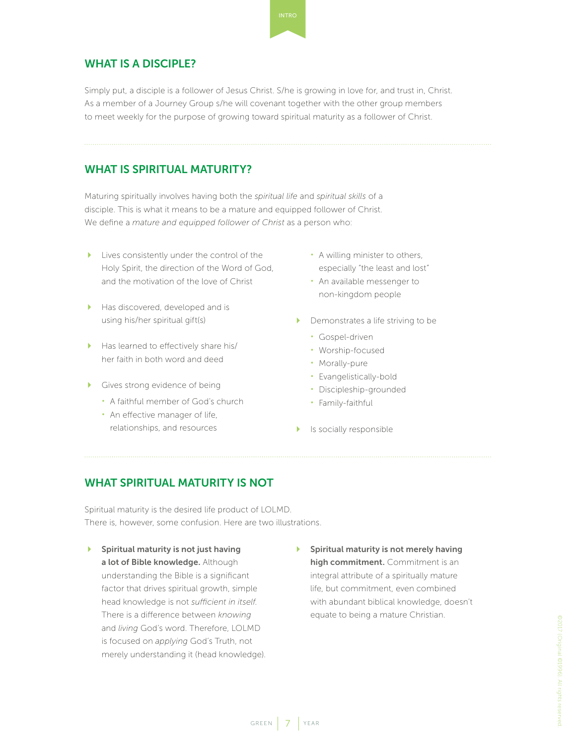### WHAT IS A DISCIPLE?

Simply put, a disciple is a follower of Jesus Christ. S/he is growing in love for, and trust in, Christ. As a member of a Journey Group s/he will covenant together with the other group members to meet weekly for the purpose of growing toward spiritual maturity as a follower of Christ.

### WHAT IS SPIRITUAL MATURITY?

Maturing spiritually involves having both the *spiritual life* and *spiritual skills* of a disciple. This is what it means to be a mature and equipped follower of Christ. We define a *mature and equipped follower of Christ* as a person who:

- **Lives consistently under the control of the** Holy Spirit, the direction of the Word of God, and the motivation of the love of Christ
- Has discovered, developed and is using his/her spiritual gift(s)
- Has learned to effectively share his/ her faith in both word and deed
- Gives strong evidence of being
	- A faithful member of God's church
	- An effective manager of life, relationships, and resources
- A willing minister to others, especially "the least and lost"
- An available messenger to non-kingdom people
- Demonstrates a life striving to be
	- Gospel-driven
	- Worship-focused
	- Morally-pure
	- Evangelistically-bold
	- Discipleship-grounded
	- Family-faithful
- Is socially responsible

### WHAT SPIRITUAL MATURITY IS NOT

Spiritual maturity is the desired life product of LOLMD. There is, however, some confusion. Here are two illustrations.

- $\triangleright$  Spiritual maturity is not just having a lot of Bible knowledge. Although understanding the Bible is a significant factor that drives spiritual growth, simple head knowledge is not *sufficient in itself*. There is a difference between *knowing* and *living* God's word. Therefore, LOLMD is focused on *applying* God's Truth, not merely understanding it (head knowledge).
- $\triangleright$  Spiritual maturity is not merely having high commitment. Commitment is an integral attribute of a spiritually mature life, but commitment, even combined with abundant biblical knowledge, doesn't equate to being a mature Christian.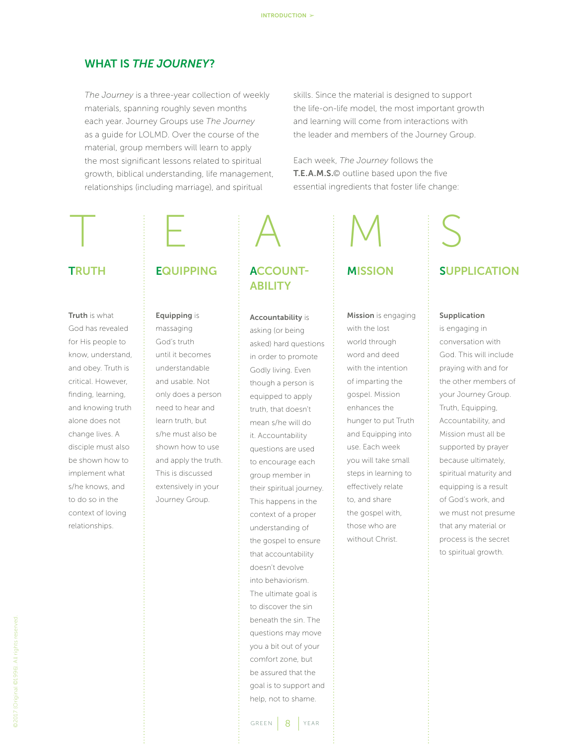### WHAT IS *THE JOURNEY*?

*The Journey* is a three-year collection of weekly materials, spanning roughly seven months each year. Journey Groups use *The Journey*  as a guide for LOLMD. Over the course of the material, group members will learn to apply the most significant lessons related to spiritual growth, biblical understanding, life management, relationships (including marriage), and spiritual

skills. Since the material is designed to support the life-on-life model, the most important growth and learning will come from interactions with the leader and members of the Journey Group.

Each week, *The Journey* follows the T.E.A.M.S.© outline based upon the five essential ingredients that foster life change:

### TRUTH

### Truth is what

God has revealed for His people to know, understand, and obey. Truth is critical. However, finding, learning, and knowing truth alone does not change lives. A disciple must also be shown how to implement what s/he knows, and to do so in the context of loving relationships.



### Equipping is

massaging God's truth until it becomes understandable and usable. Not only does a person need to hear and learn truth, but s/he must also be shown how to use and apply the truth. This is discussed extensively in your Journey Group.

### ACCOUNT-ABILITY

#### Accountability is

asking (or being asked) hard questions in order to promote Godly living. Even though a person is equipped to apply truth, that doesn't mean s/he will do it. Accountability questions are used to encourage each group member in their spiritual journey. This happens in the context of a proper understanding of the gospel to ensure that accountability doesn't devolve into behaviorism. The ultimate goal is to discover the sin beneath the sin. The questions may move you a bit out of your comfort zone, but be assured that the goal is to support and help, not to shame.

# MISSION T E A M S

Mission is engaging with the lost world through word and deed with the intention of imparting the gospel. Mission enhances the hunger to put Truth and Equipping into use. Each week you will take small steps in learning to effectively relate to, and share the gospel with, those who are without Christ.

### SUPPLICATION

### Supplication

is engaging in conversation with God. This will include praying with and for the other members of your Journey Group. Truth, Equipping, Accountability, and Mission must all be supported by prayer because ultimately, spiritual maturity and equipping is a result of God's work, and we must not presume that any material or process is the secret to spiritual growth.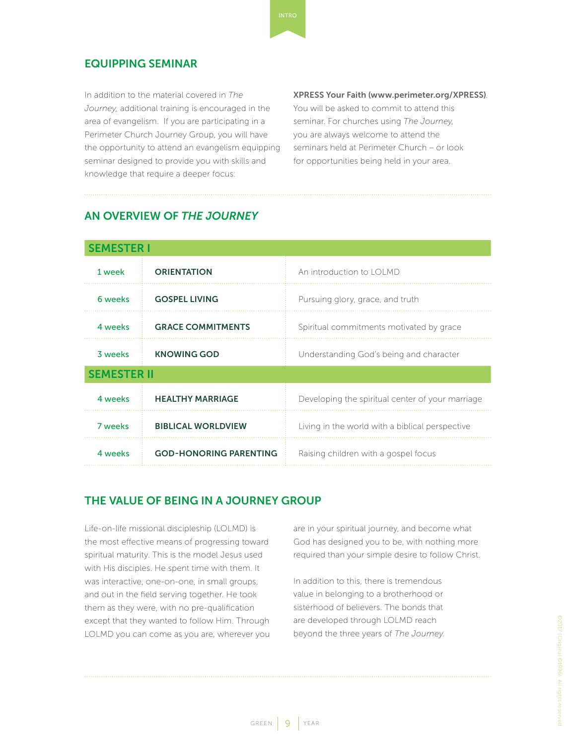### EQUIPPING SEMINAR

In addition to the material covered in *The Journey,* additional training is encouraged in the area of evangelism. If you are participating in a Perimeter Church Journey Group, you will have the opportunity to attend an evangelism equipping seminar designed to provide you with skills and knowledge that require a deeper focus:

### XPRESS Your Faith (www.perimeter.org/XPRESS).

You will be asked to commit to attend this seminar. For churches using *The Journey,* you are always welcome to attend the seminars held at Perimeter Church – or look for opportunities being held in your area.

### AN OVERVIEW OF *THE JOURNEY*

| <b>SEMESTER I</b>  |                               |                                                  |  |  |
|--------------------|-------------------------------|--------------------------------------------------|--|--|
| 1 week             | <b>ORIENTATION</b>            | An introduction to I OI MD                       |  |  |
| 6 weeks            | <b>GOSPEL LIVING</b>          | Pursuing glory, grace, and truth                 |  |  |
| 4 weeks            | <b>GRACE COMMITMENTS</b>      | Spiritual commitments motivated by grace         |  |  |
| 3 weeks            | <b>KNOWING GOD</b>            | Understanding God's being and character          |  |  |
| <b>SEMESTER II</b> |                               |                                                  |  |  |
| 4 weeks            | <b>HEALTHY MARRIAGE</b>       | Developing the spiritual center of your marriage |  |  |
| 7 weeks            | <b>BIBLICAL WORLDVIEW</b>     | Living in the world with a biblical perspective  |  |  |
| 4 weeks            | <b>GOD-HONORING PARENTING</b> | Raising children with a gospel focus             |  |  |

### THE VALUE OF BEING IN A JOURNEY GROUP

Life-on-life missional discipleship (LOLMD) is the most effective means of progressing toward spiritual maturity. This is the model Jesus used with His disciples. He spent time with them. It was interactive, one-on-one, in small groups, and out in the field serving together. He took them as they were, with no pre-qualification except that they wanted to follow Him. Through LOLMD you can come as you are, wherever you are in your spiritual journey, and become what God has designed you to be, with nothing more required than your simple desire to follow Christ.

In addition to this, there is tremendous value in belonging to a brotherhood or sisterhood of believers. The bonds that are developed through LOLMD reach beyond the three years of *The Journey*.

# @2017 (Original @1996). All rights rese ©2017 (Original ©1996). All rights reserved.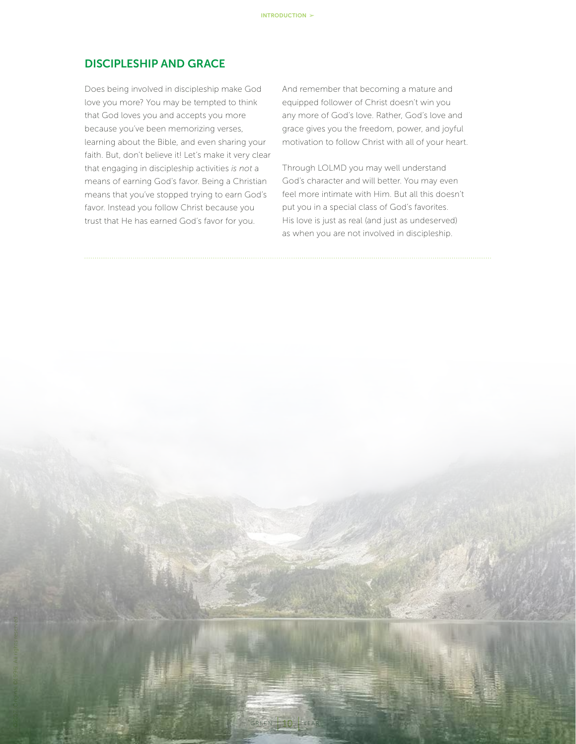### DISCIPLESHIP AND GRACE

Does being involved in discipleship make God love you more? You may be tempted to think that God loves you and accepts you more because you've been memorizing verses, learning about the Bible, and even sharing your faith. But, don't believe it! Let's make it very clear that engaging in discipleship activities *is not* a means of earning God's favor. Being a Christian means that you've stopped trying to earn God's favor. Instead you follow Christ because you trust that He has earned God's favor for you.

And remember that becoming a mature and equipped follower of Christ doesn't win you any more of God's love. Rather, God's love and grace gives you the freedom, power, and joyful motivation to follow Christ with all of your heart.

Through LOLMD you may well understand God's character and will better. You may even feel more intimate with Him. But all this doesn't put you in a special class of God's favorites. His love is just as real (and just as undeserved) as when you are not involved in discipleship.

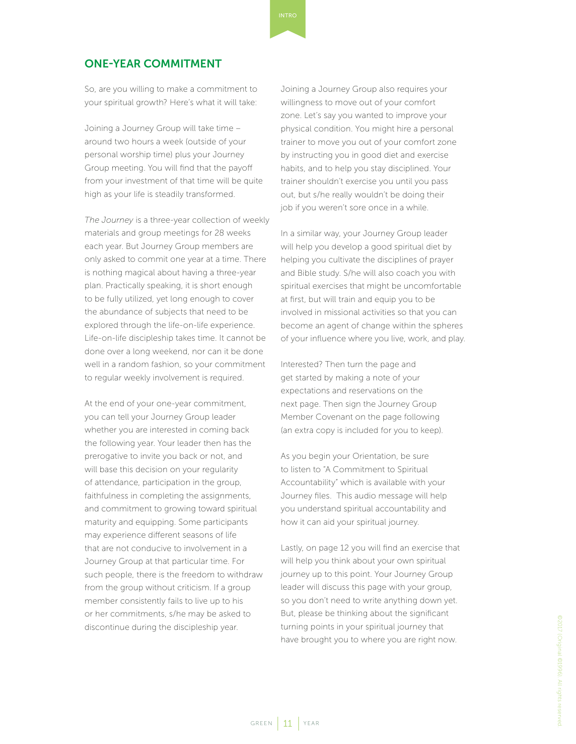### ONE-YEAR COMMITMENT

So, are you willing to make a commitment to your spiritual growth? Here's what it will take:

Joining a Journey Group will take time – around two hours a week (outside of your personal worship time) plus your Journey Group meeting. You will find that the payoff from your investment of that time will be quite high as your life is steadily transformed.

*The Journey* is a three-year collection of weekly materials and group meetings for 28 weeks each year. But Journey Group members are only asked to commit one year at a time. There is nothing magical about having a three-year plan. Practically speaking, it is short enough to be fully utilized, yet long enough to cover the abundance of subjects that need to be explored through the life-on-life experience. Life-on-life discipleship takes time. It cannot be done over a long weekend, nor can it be done well in a random fashion, so your commitment to regular weekly involvement is required.

At the end of your one-year commitment, you can tell your Journey Group leader whether you are interested in coming back the following year. Your leader then has the prerogative to invite you back or not, and will base this decision on your regularity of attendance, participation in the group, faithfulness in completing the assignments, and commitment to growing toward spiritual maturity and equipping. Some participants may experience different seasons of life that are not conducive to involvement in a Journey Group at that particular time. For such people, there is the freedom to withdraw from the group without criticism. If a group member consistently fails to live up to his or her commitments, s/he may be asked to discontinue during the discipleship year.

Joining a Journey Group also requires your willingness to move out of your comfort zone. Let's say you wanted to improve your physical condition. You might hire a personal trainer to move you out of your comfort zone by instructing you in good diet and exercise habits, and to help you stay disciplined. Your trainer shouldn't exercise you until you pass out, but s/he really wouldn't be doing their job if you weren't sore once in a while.

In a similar way, your Journey Group leader will help you develop a good spiritual diet by helping you cultivate the disciplines of prayer and Bible study. S/he will also coach you with spiritual exercises that might be uncomfortable at first, but will train and equip you to be involved in missional activities so that you can become an agent of change within the spheres of your influence where you live, work, and play.

Interested? Then turn the page and get started by making a note of your expectations and reservations on the next page. Then sign the Journey Group Member Covenant on the page following (an extra copy is included for you to keep).

As you begin your Orientation, be sure to listen to "A Commitment to Spiritual Accountability" which is available with your Journey files. This audio message will help you understand spiritual accountability and how it can aid your spiritual journey.

Lastly, on page 12 you will find an exercise that will help you think about your own spiritual journey up to this point. Your Journey Group leader will discuss this page with your group, so you don't need to write anything down yet. But, please be thinking about the significant turning points in your spiritual journey that have brought you to where you are right now.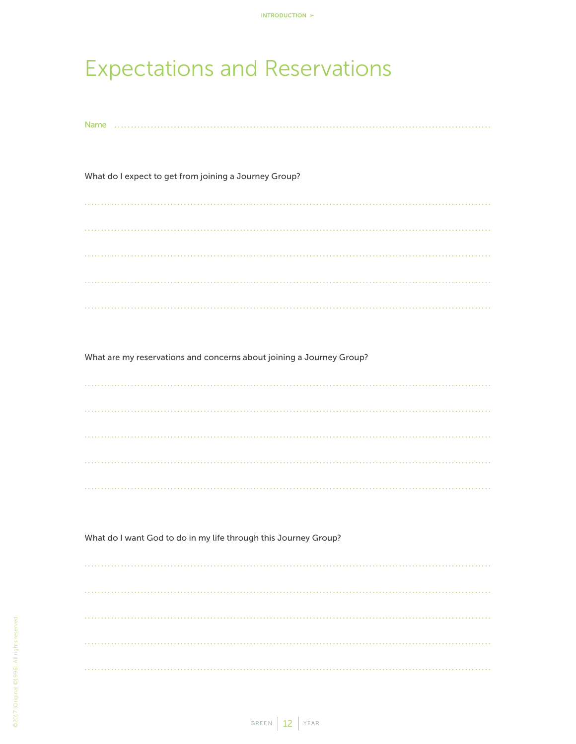### **Expectations and Reservations**

What do I expect to get from joining a Journey Group?

What are my reservations and concerns about joining a Journey Group?

What do I want God to do in my life through this Journey Group?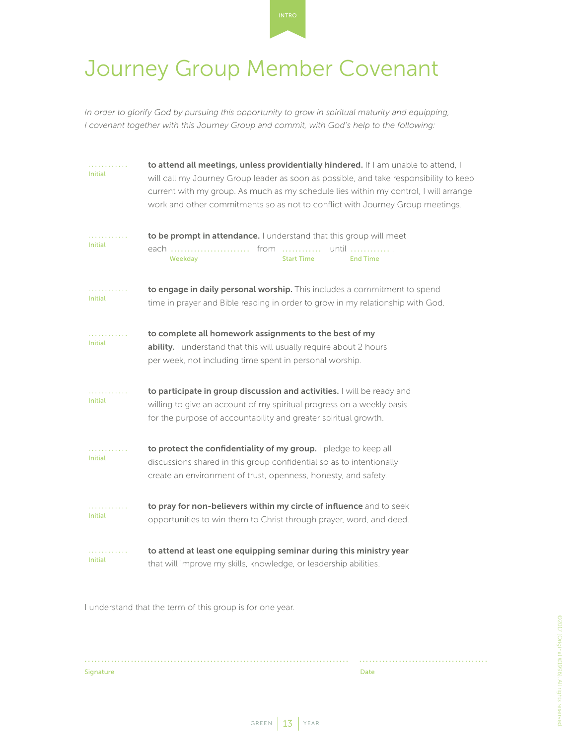# Journey Group Member Covenant

*In order to glorify God by pursuing this opportunity to grow in spiritual maturity and equipping, I covenant together with this Journey Group and commit, with God's help to the following:*

| Initial | to attend all meetings, unless providentially hindered. If I am unable to attend, I<br>will call my Journey Group leader as soon as possible, and take responsibility to keep<br>current with my group. As much as my schedule lies within my control, I will arrange<br>work and other commitments so as not to conflict with Journey Group meetings. |
|---------|--------------------------------------------------------------------------------------------------------------------------------------------------------------------------------------------------------------------------------------------------------------------------------------------------------------------------------------------------------|
| Initial | to be prompt in attendance. I understand that this group will meet<br>each  from  until<br>Weekday<br><b>Start Time</b><br><b>End Time</b>                                                                                                                                                                                                             |
| Initial | to engage in daily personal worship. This includes a commitment to spend<br>time in prayer and Bible reading in order to grow in my relationship with God.                                                                                                                                                                                             |
| Initial | to complete all homework assignments to the best of my<br>ability. I understand that this will usually require about 2 hours<br>per week, not including time spent in personal worship.                                                                                                                                                                |
| Initial | to participate in group discussion and activities. I will be ready and<br>willing to give an account of my spiritual progress on a weekly basis<br>for the purpose of accountability and greater spiritual growth.                                                                                                                                     |
| Initial | to protect the confidentiality of my group. I pledge to keep all<br>discussions shared in this group confidential so as to intentionally<br>create an environment of trust, openness, honesty, and safety.                                                                                                                                             |
| Initial | to pray for non-believers within my circle of influence and to seek<br>opportunities to win them to Christ through prayer, word, and deed.                                                                                                                                                                                                             |
| Initial | to attend at least one equipping seminar during this ministry year<br>that will improve my skills, knowledge, or leadership abilities.                                                                                                                                                                                                                 |

I understand that the term of this group is for one year.

Signature Date Date of the Contract of the Contract of the Contract of the Date Date Date

GREEN  $13$  YEAR

................................................................................ . . . . . . . . . . . . . . . . . . . . . . . . . . . . . . . . . . . . . . .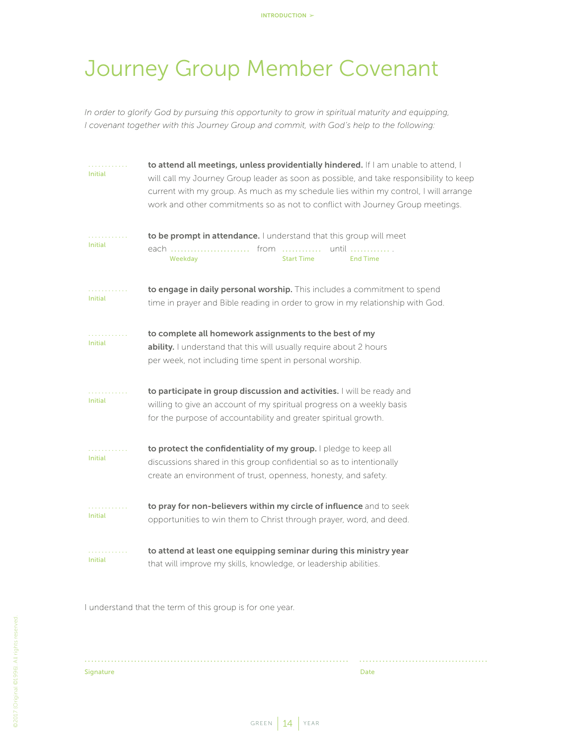# Journey Group Member Covenant

*In order to glorify God by pursuing this opportunity to grow in spiritual maturity and equipping, I covenant together with this Journey Group and commit, with God's help to the following:*

| Initial      | to attend all meetings, unless providentially hindered. If I am unable to attend, I<br>will call my Journey Group leader as soon as possible, and take responsibility to keep<br>current with my group. As much as my schedule lies within my control, I will arrange<br>work and other commitments so as not to conflict with Journey Group meetings. |  |
|--------------|--------------------------------------------------------------------------------------------------------------------------------------------------------------------------------------------------------------------------------------------------------------------------------------------------------------------------------------------------------|--|
| .<br>Initial | to be prompt in attendance. I understand that this group will meet<br>until<br>each  from<br><b>Start Time</b><br>Weekday<br><b>End Time</b>                                                                                                                                                                                                           |  |
| Initial      | to engage in daily personal worship. This includes a commitment to spend<br>time in prayer and Bible reading in order to grow in my relationship with God.                                                                                                                                                                                             |  |
| Initial      | to complete all homework assignments to the best of my<br>ability. I understand that this will usually require about 2 hours<br>per week, not including time spent in personal worship.                                                                                                                                                                |  |
| Initial      | to participate in group discussion and activities. I will be ready and<br>willing to give an account of my spiritual progress on a weekly basis<br>for the purpose of accountability and greater spiritual growth.                                                                                                                                     |  |
| Initial      | to protect the confidentiality of my group. I pledge to keep all<br>discussions shared in this group confidential so as to intentionally<br>create an environment of trust, openness, honesty, and safety.                                                                                                                                             |  |
| Initial      | to pray for non-believers within my circle of influence and to seek<br>opportunities to win them to Christ through prayer, word, and deed.                                                                                                                                                                                                             |  |
| Initial      | to attend at least one equipping seminar during this ministry year<br>that will improve my skills, knowledge, or leadership abilities.                                                                                                                                                                                                                 |  |

I understand that the term of this group is for one year.

Signature Date Date of the Contract of the Contract of the Contract of the Date Date Date

................................................................................ . . . . . . . . . . . . . . . . . . . . . . . . . . . . . . . . . . . . . . .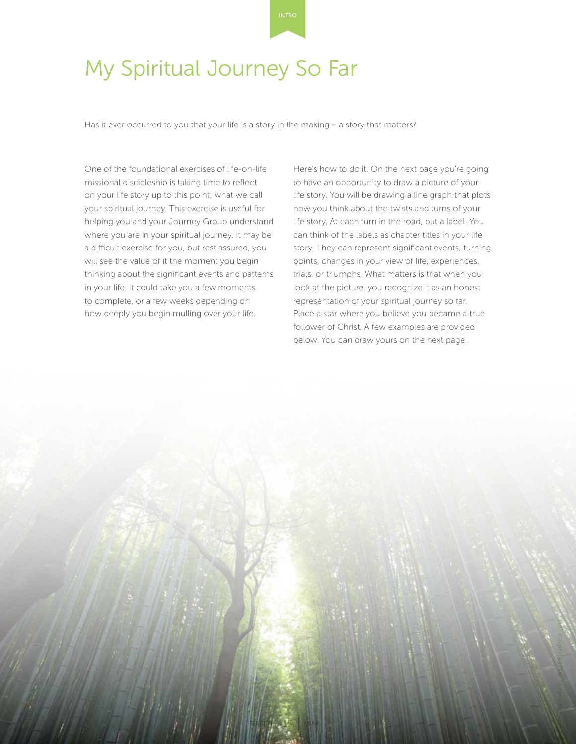### My Spiritual Journey So Far

Has it ever occurred to you that your life is a story in the making – a story that matters?

One of the foundational exercises of life-on-life missional discipleship is taking time to reflect on your life story up to this point; what we call your spiritual journey. This exercise is useful for helping you and your Journey Group understand where you are in your spiritual journey. It may be a difficult exercise for you, but rest assured, you will see the value of it the moment you begin thinking about the significant events and patterns in your life. It could take you a few moments to complete, or a few weeks depending on how deeply you begin mulling over your life.

Here's how to do it. On the next page you're going to have an opportunity to draw a picture of your life story. You will be drawing a line graph that plots how you think about the twists and turns of your life story. At each turn in the road, put a label. You can think of the labels as chapter titles in your life story. They can represent significant events, turning points, changes in your view of life, experiences, trials, or triumphs. What matters is that when you look at the picture, you recognize it as an honest representation of your spiritual journey so far. Place a star where you believe you became a true follower of Christ. A few examples are provided below. You can draw yours on the next page.

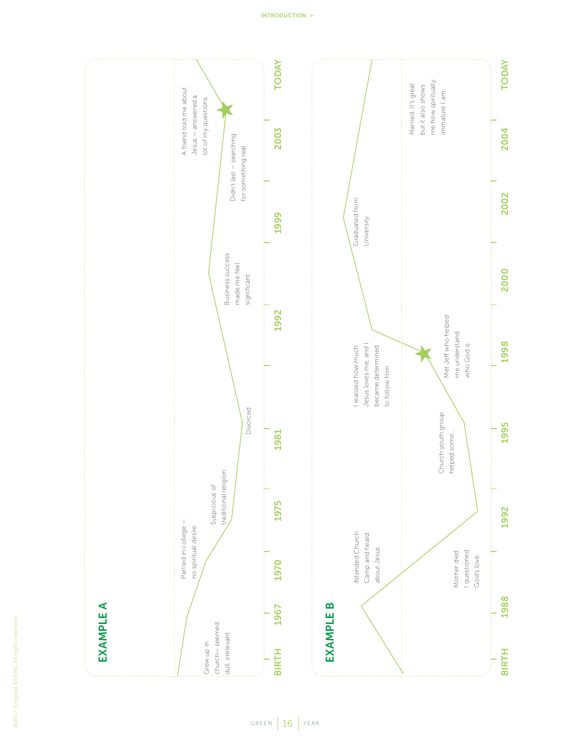

GREEN  $16$  YEAR

God's love

1995

1992

1988

**BIRTH** 

1998

**TODAY** 

2004

2002

2000